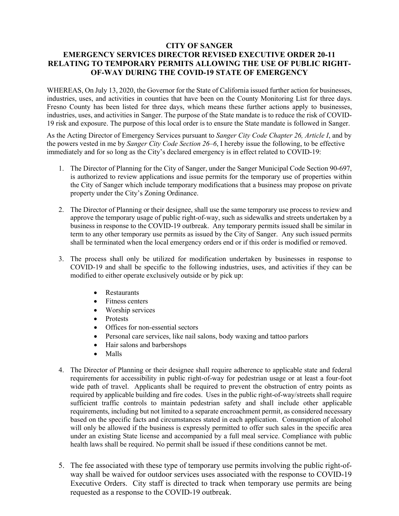## **CITY OF SANGER EMERGENCY SERVICES DIRECTOR REVISED EXECUTIVE ORDER 20-11 RELATING TO TEMPORARY PERMITS ALLOWING THE USE OF PUBLIC RIGHT-OF-WAY DURING THE COVID-19 STATE OF EMERGENCY**

WHEREAS, On July 13, 2020, the Governor for the State of California issued further action for businesses, industries, uses, and activities in counties that have been on the County Monitoring List for three days. Fresno County has been listed for three days, which means these further actions apply to businesses, industries, uses, and activities in Sanger. The purpose of the State mandate is to reduce the risk of COVID-19 risk and exposure. The purpose of this local order is to ensure the State mandate is followed in Sanger.

As the Acting Director of Emergency Services pursuant to *Sanger City Code Chapter 26, Article I*, and by the powers vested in me by *Sanger City Code Section 26–6*, I hereby issue the following, to be effective immediately and for so long as the City's declared emergency is in effect related to COVID-19:

- 1. The Director of Planning for the City of Sanger, under the Sanger Municipal Code Section 90-697, is authorized to review applications and issue permits for the temporary use of properties within the City of Sanger which include temporary modifications that a business may propose on private property under the City's Zoning Ordinance.
- 2. The Director of Planning or their designee, shall use the same temporary use process to review and approve the temporary usage of public right-of-way, such as sidewalks and streets undertaken by a business in response to the COVID-19 outbreak. Any temporary permits issued shall be similar in term to any other temporary use permits as issued by the City of Sanger. Any such issued permits shall be terminated when the local emergency orders end or if this order is modified or removed.
- 3. The process shall only be utilized for modification undertaken by businesses in response to COVID-19 and shall be specific to the following industries, uses, and activities if they can be modified to either operate exclusively outside or by pick up:
	- Restaurants
	- Fitness centers
	- Worship services
	- Protests
	- Offices for non-essential sectors
	- Personal care services, like nail salons, body waxing and tattoo parlors
	- Hair salons and barbershops
	- Malls
- 4. The Director of Planning or their designee shall require adherence to applicable state and federal requirements for accessibility in public right-of-way for pedestrian usage or at least a four-foot wide path of travel. Applicants shall be required to prevent the obstruction of entry points as required by applicable building and fire codes. Uses in the public right-of-way/streets shall require sufficient traffic controls to maintain pedestrian safety and shall include other applicable requirements, including but not limited to a separate encroachment permit, as considered necessary based on the specific facts and circumstances stated in each application. Consumption of alcohol will only be allowed if the business is expressly permitted to offer such sales in the specific area under an existing State license and accompanied by a full meal service. Compliance with public health laws shall be required. No permit shall be issued if these conditions cannot be met.
- 5. The fee associated with these type of temporary use permits involving the public right-ofway shall be waived for outdoor services uses associated with the response to COVID-19 Executive Orders. City staff is directed to track when temporary use permits are being requested as a response to the COVID-19 outbreak.